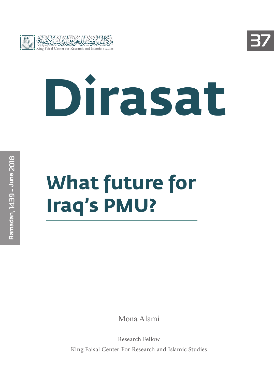



# **Dirasat**

# **What future for Iraq's PMU?**

Mona Alami

Research Fellow King Faisal Center For Research and Islamic Studies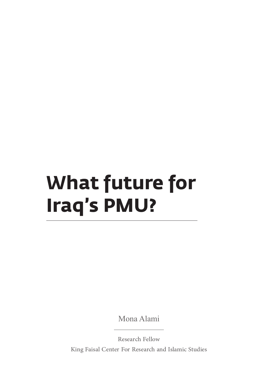# **What future for Iraq's PMU?**

Mona Alami

Research Fellow King Faisal Center For Research and Islamic Studies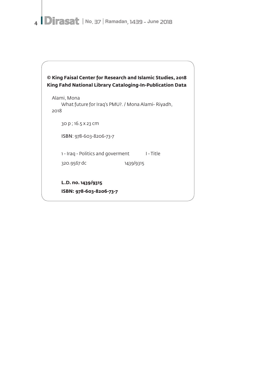4 **Dirasat** | No. 37 | Ramadan, 1439 - June 2018

| © King Faisal Center for Research and Islamic Studies, 2018<br>King Fahd National Library Cataloging-In-Publication Data |  |  |  |  |
|--------------------------------------------------------------------------------------------------------------------------|--|--|--|--|
| Alami, Mona<br>What future for Irag's PMU?. / Mona Alami- Riyadh,<br>2018                                                |  |  |  |  |
| 30 p ; 16.5 x 23 cm                                                                                                      |  |  |  |  |
| ISBN: 978-603-8206-73-7                                                                                                  |  |  |  |  |
| I - Title<br>1 - Iraq - Politics and goverment                                                                           |  |  |  |  |
| 1439/9315<br>320.9567 dc                                                                                                 |  |  |  |  |
| L.D. no. 1439/9315<br>ISBN: 978-603-8206-73-7                                                                            |  |  |  |  |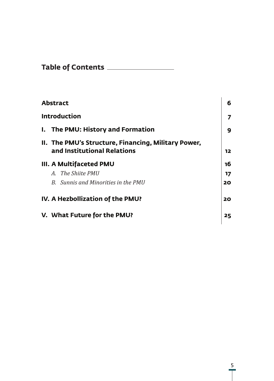| <b>Table of Contents</b> |  |
|--------------------------|--|
|--------------------------|--|

| <b>Abstract</b>                                                                    | 6  |
|------------------------------------------------------------------------------------|----|
| <b>Introduction</b>                                                                | 7  |
| I. The PMU: History and Formation                                                  | 9  |
| II. The PMU's Structure, Financing, Military Power,<br>and Institutional Relations | 12 |
| III. A Multifaceted PMU                                                            | 16 |
| A. The Shiite PMII                                                                 | 17 |
| B. Sunnis and Minorities in the PMU                                                | 20 |
| IV. A Hezbollization of the PMU?                                                   | 20 |
| V. What Future for the PMU?                                                        | 25 |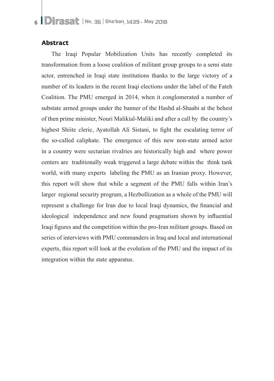#### **Abstract**

The Iraqi Popular Mobilization Units has recently completed its transformation from a loose coalition of militant group groups to a semi state actor, entrenched in Iraqi state institutions thanks to the large victory of a number of its leaders in the recent Iraqi elections under the label of the Fateh Coalition. The PMU emerged in 2014, when it conglomerated a number of substate armed groups under the banner of the Hashd al-Shaabi at the behest of then prime minister, Nouri Malikial-Maliki and after a call by the country's highest Shiite cleric, Ayatollah Ali Sistani, to fight the escalating terror of the so-called caliphate. The emergence of this new non-state armed actor in a country were sectarian rivalries are historically high and where power centers are traditionally weak triggered a large debate within the think tank world, with many experts labeling the PMU as an Iranian proxy. However, this report will show that while a segment of the PMU falls within Iran's larger regional security program, a Hezbollization as a whole of the PMU will represent a challenge for Iran due to local Iraqi dynamics, the financial and ideological independence and new found pragmatism shown by influential Iraqi figures and the competition within the pro-Iran militant groups. Based on series of interviews with PMU commanders in Iraq and local and international experts, this report will look at the evolution of the PMU and the impact of its integration within the state apparatus.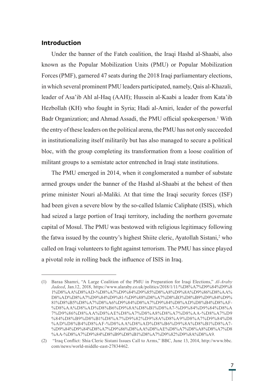#### **Introduction**

Under the banner of the Fateh coalition, the Iraqi Hashd al-Shaabi, also known as the Popular Mobilization Units (PMU) or Popular Mobilization Forces (PMF), garnered 47 seats during the 2018 Iraqi parliamentary elections, in which several prominent PMU leaders participated, namely, Qais al-Khazali, leader of Asa'ib Ahl al-Haq (AAH); Hussein al-Kaabi a leader from Kata'ib Hezbollah (KH) who fought in Syria; Hadi al-Amiri, leader of the powerful Badr Organization; and Ahmad Assadi, the PMU official spokesperson.<sup>1</sup> With the entry of these leaders on the political arena, the PMU has not only succeeded in institutionalizing itself militarily but has also managed to secure a political bloc, with the group completing its transformation from a loose coalition of militant groups to a semistate actor entrenched in Iraqi state institutions.

The PMU emerged in 2014, when it conglomerated a number of substate armed groups under the banner of the Hashd al-Shaabi at the behest of then prime minister Nouri al-Maliki. At that time the Iraqi security forces (ISF) had been given a severe blow by the so-called Islamic Caliphate (ISIS), which had seized a large portion of Iraqi territory, including the northern governate capital of Mosul. The PMU was bestowed with religious legitimacy following the fatwa issued by the country's highest Shiite cleric, Ayatollah Sistani,<sup>2</sup> who called on Iraqi volunteers to fight against terrorism. The PMU has since played a pivotal role in rolling back the influence of ISIS in Iraq.

<sup>(1)</sup> Baraa Shamri, "A Large Coalition of the PMU in Preparation for Iraqi Elections," *Al-Araby Jadeed*, Jan.12, 2018, https://www.alaraby.co.uk/politics/2018/1/11/%D8%A7%D9%84%D9%8 1%D8%AA%D8%AD-%D8%A7%D9%84%D9%85%D8%A8%D9%8A%D9%86%D8%AA% D8%AD%D8%A7%D9%84%D9%81-%D9%88%D8%A7%D8%B3%D8%B9%D9%84%D9% 81%D8%B5%D8%A7%D8%A6%D9%84%D8%A7%D9%84%D8%AD%D8%B4%D8%AF- %D8%AA%D8%AD%D8%B6%D9%8A%D8%B1%D8%A7-%D9%84%D9%84%D8%A 7%D9%86%D8%AA%D8%AE%D8%A7%D8%A8%D8%A7%D8%AA-%D8%A7%D9 %84%D8%B9%D8%B1%D8%A7%D9%82%D9%8A%D8%A9%D8%A7%D9%84%D8 %AD%D8%B4%D8%AF-%D8%AA%D8%AD%D8%B6%D9%8A%D8%B1%D8%A7- %D9%84%D9%84%D8%A7%D9%86%D8%AA%D8%AE%D8%A7%D8%A8%D8%A7%D8 %AA-%D8%A7%D9%84%D8%B9%D8%B1%D8%A7%D9%82%D9%8A%D8%A9.

<sup>(2)</sup> "Iraq Conflict: Shia Cleric Sistani Issues Call to Arms," BBC, June 13, 2014, http://www.bbc. com/news/world-middle-east-27834462.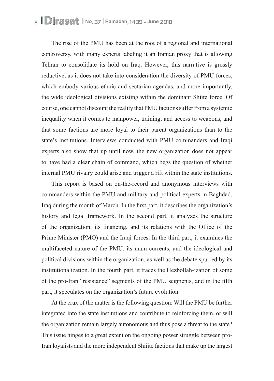The rise of the PMU has been at the root of a regional and international controversy, with many experts labeling it an Iranian proxy that is allowing Tehran to consolidate its hold on Iraq. However, this narrative is grossly reductive, as it does not take into consideration the diversity of PMU forces, which embody various ethnic and sectarian agendas, and more importantly, the wide ideological divisions existing within the dominant Shiite force. Of course, one cannot discount the reality that PMU factions suffer from a systemic inequality when it comes to manpower, training, and access to weapons, and that some factions are more loyal to their parent organizations than to the state's institutions. Interviews conducted with PMU commanders and Iraqi experts also show that up until now, the new organization does not appear to have had a clear chain of command, which begs the question of whether internal PMU rivalry could arise and trigger a rift within the state institutions.

This report is based on on-the-record and anonymous interviews with commanders within the PMU and military and political experts in Baghdad, Iraq during the month of March. In the first part, it describes the organization's history and legal framework. In the second part, it analyzes the structure of the organization, its financing, and its relations with the Office of the Prime Minister (PMO) and the Iraqi forces. In the third part, it examines the multifaceted nature of the PMU, its main currents, and the ideological and political divisions within the organization, as well as the debate spurred by its institutionalization. In the fourth part, it traces the Hezbollah-ization of some of the pro-Iran "resistance" segments of the PMU segments, and in the fifth part, it speculates on the organization's future evolution.

At the crux of the matter is the following question: Will the PMU be further integrated into the state institutions and contribute to reinforcing them, or will the organization remain largely autonomous and thus pose a threat to the state? This issue hinges to a great extent on the ongoing power struggle between pro-Iran loyalists and the more independent Shiiite factions that make up the largest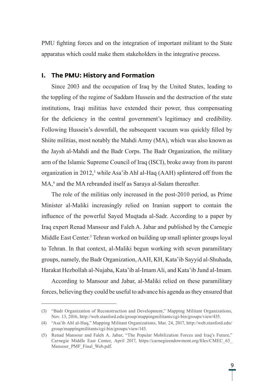PMU fighting forces and on the integration of important militant to the State apparatus which could make them stakeholders in the integrative process.

#### **I. The PMU: History and Formation**

Since 2003 and the occupation of Iraq by the United States, leading to the toppling of the regime of Saddam Hussein and the destruction of the state institutions, Iraqi militias have extended their power, thus compensating for the deficiency in the central government's legitimacy and credibility. Following Hussein's downfall, the subsequent vacuum was quickly filled by Shiite militias, most notably the Mahdi Army (MA), which was also known as the Jaysh al-Mahdi and the Badr Corps. The Badr Organization, the military arm of the Islamic Supreme Council of Iraq (ISCI), broke away from its parent organization in 2012,<sup>3</sup> while Asa'ib Ahl al-Haq (AAH) splintered off from the MA,<sup>4</sup> and the MA rebranded itself as Saraya al-Salam thereafter.

The role of the militias only increased in the post-2010 period, as Prime Minister al-Maliki increasingly relied on Iranian support to contain the influence of the powerful Sayed Muqtada al-Sadr. According to a paper by Iraq expert Renad Mansour and Faleh A. Jabar and published by the Carnegie Middle East Center.<sup>5</sup> Tehran worked on building up small splinter groups loyal to Tehran. In that context, al-Maliki begun working with seven paramilitary groups, namely, the Badr Organization, AAH, KH, Kata'ib Sayyid al-Shuhada, Harakat Hezbollah al-Nujaba, Kata'ib al-Imam Ali, and Kata'ib Jund al-Imam.

According to Mansour and Jabar, al-Maliki relied on these paramilitary forces, believing they could be useful to advance his agenda as they ensured that

<sup>(3)</sup> "Badr Organization of Reconstruction and Development," Mapping Militant Organizations, Nov. 13, 2016, http://web.stanford.edu/group/mappingmilitants/cgi-bin/groups/view/435.

<sup>(4)</sup> "Asa'ib Ahl al-Haq," Mapping Militant Organizations, Mar. 24, 2017, http://web.stanford.edu/ group/mappingmilitants/cgi-bin/groups/view/143.

<sup>(5)</sup> Renad Mansour and Faleh A. Jabar, "The Popular Mobilization Forces and Iraq's Future," Carnegie Middle East Center, April 2017, https://carnegieendowment.org/files/CMEC\_63\_ Mansour\_PMF\_Final\_Web.pdf.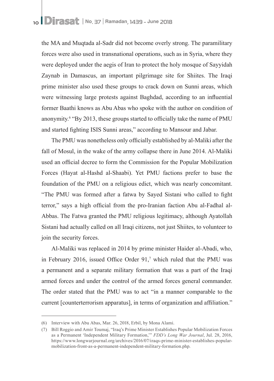the MA and Muqtada al-Sadr did not become overly strong. The paramilitary forces were also used in transnational operations, such as in Syria, where they were deployed under the aegis of Iran to protect the holy mosque of Sayyidah Zaynab in Damascus, an important pilgrimage site for Shiites. The Iraqi prime minister also used these groups to crack down on Sunni areas, which were witnessing large protests against Baghdad, according to an influential former Baathi knows as Abu Abas who spoke with the author on condition of anonymity.<sup>6</sup> "By 2013, these groups started to officially take the name of PMU and started fighting ISIS Sunni areas," according to Mansour and Jabar.

The PMU was nonetheless only officially established by al-Maliki after the fall of Mosul, in the wake of the army collapse there in June 2014. Al-Maliki used an official decree to form the Commission for the Popular Mobilization Forces (Hayat al-Hashd al-Shaabi). Yet PMU factions prefer to base the foundation of the PMU on a religious edict, which was nearly concomitant. "The PMU was formed after a fatwa by Sayed Sistani who called to fight terror," says a high official from the pro-Iranian faction Abu al-Fadhal al-Abbas. The Fatwa granted the PMU religious legitimacy, although Ayatollah Sistani had actually called on all Iraqi citizens, not just Shiites, to volunteer to join the security forces.

Al-Maliki was replaced in 2014 by prime minister Haider al-Abadi, who, in February 2016, issued Office Order 91,<sup>7</sup> which ruled that the PMU was a permanent and a separate military formation that was a part of the Iraqi armed forces and under the control of the armed forces general commander. The order stated that the PMU was to act "in a manner comparable to the current [counterterrorism apparatus], in terms of organization and affiliation."

<sup>(6)</sup> Interview with Abu Abas, Mar. 26, 2018, Erbil, by Mona Alami.

<sup>(7)</sup> Bill Roggio and Amir Toumaj, "Iraq's Prime Minister Establishes Popular Mobilization Forces as a Permanent 'Independent Military Formation,'" *FDD's Long War Journal*, Jul. 28, 2016, https://www.longwarjournal.org/archives/2016/07/iraqs-prime-minister-establishes-popularmobilization-front-as-a-permanent-independent-military-formation.php.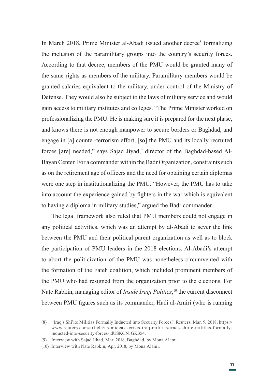In March 2018, Prime Minister al-Abadi issued another decree<sup>8</sup> formalizing the inclusion of the paramilitary groups into the country's security forces. According to that decree, members of the PMU would be granted many of the same rights as members of the military. Paramilitary members would be granted salaries equivalent to the military, under control of the Ministry of Defense. They would also be subject to the laws of military service and would gain access to military institutes and colleges. "The Prime Minister worked on professionalizing the PMU. He is making sure it is prepared for the next phase, and knows there is not enough manpower to secure borders or Baghdad, and engage in [a] counter-terrorism effort, [so] the PMU and its locally recruited forces [are] needed," says Sajad Jiyad,<sup>9</sup> director of the Baghdad-based Al-Bayan Center. For a commander within the Badr Organization, constraints such as on the retirement age of officers and the need for obtaining certain diplomas were one step in institutionalizing the PMU. "However, the PMU has to take into account the experience gained by fighters in the war which is equivalent to having a diploma in military studies," argued the Badr commander.

The legal framework also ruled that PMU members could not engage in any political activities, which was an attempt by al-Abadi to sever the link between the PMU and their political parent organization as well as to block the participation of PMU leaders in the 2018 elections. Al-Abadi's attempt to abort the politicization of the PMU was nonetheless circumvented with the formation of the Fateh coalition, which included prominent members of the PMU who had resigned from the organization prior to the elections. For Nate Rabkin, managing editor of *Inside Iraqi Politics*, 10 the current disconnect between PMU figures such as its commander, Hadi al-Amiri (who is running

<sup>(8)</sup> "Iraq's Shi'ite Militias Formally Inducted into Security Forces," Reuters, Mar. 9, 2018, https:// www.reuters.com/article/us-mideast-crisis-iraq-militias/iraqs-shiite-militias-formallyinducted-into-security-forces-idUSKCN1GK354.

<sup>(9)</sup> Interview with Sajad Jihad, Mar. 2018, Baghdad, by Mona Alami.

<sup>(10)</sup> Interview with Nate Rabkin, Apr. 2018, by Mona Alami.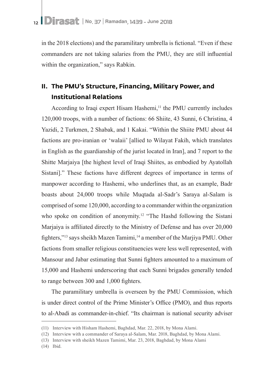in the 2018 elections) and the paramilitary umbrella is fictional. "Even if these commanders are not taking salaries from the PMU, they are still influential within the organization," says Rabkin.

## **II. The PMU's Structure, Financing, Military Power, and Institutional Relations**

According to Iraqi expert Hisam Hashemi,<sup>11</sup> the PMU currently includes 120,000 troops, with a number of factions: 66 Shiite, 43 Sunni, 6 Christina, 4 Yazidi, 2 Turkmen, 2 Shabak, and 1 Kakai. "Within the Shiite PMU about 44 factions are pro-iranian or 'walaii' [allied to Wilayat Fakih, which translates in English as the guardianship of the jurist located in Iran], and 7 report to the Shitte Mariaiya [the highest level of Iraqi Shiites, as embodied by Ayatollah Sistani]." These factions have different degrees of importance in terms of manpower according to Hashemi, who underlines that, as an example, Badr boasts about 24,000 troops while Muqtada al-Sadr's Saraya al-Salam is comprised of some 120,000, according to a commander within the organization who spoke on condition of anonymity.<sup>12</sup> "The Hashd following the Sistani Marjaiya is affiliated directly to the Ministry of Defense and has over 20,000 fighters,"<sup>13</sup> says sheikh Mazen Tamimi,<sup>14</sup> a member of the Marjiya PMU. Other factions from smaller religious constituencies were less well represented, with Mansour and Jabar estimating that Sunni fighters amounted to a maximum of 15,000 and Hashemi underscoring that each Sunni brigades generally tended to range between 300 and 1,000 fighters.

The paramilitary umbrella is overseen by the PMU Commission, which is under direct control of the Prime Minister's Office (PMO), and thus reports to al-Abadi as commander-in-chief. "Its chairman is national security adviser

(14) Ibid.

<sup>(11)</sup> Interview with Hisham Hashemi, Baghdad, Mar. 22, 2018, by Mona Alami.

<sup>(12)</sup> Interview with a commander of Saraya al-Salam, Mar. 2018, Baghdad, by Mona Alami.

<sup>(13)</sup> Interview with sheikh Mazen Tamimi, Mar. 23, 2018, Baghdad, by Mona Alami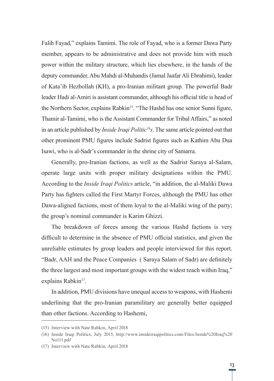Falih Fayad," explains Tamimi. The role of Fayad, who is a former Dawa Party member, appears to be administrative and does not provide him with much power within the military structure, which lies elsewhere, in the hands of the deputy commander, Abu Mahdi al-Muhandis (Jamal Jaafar Ali Ebrahimi), leader of Kata'ib Hezbollah (KH), a pro-Iranian militant group. The powerful Badr leader Hadi al-Amiri is assistant commander, although his official title is head of the Northern Sector, explains Rabkin<sup>15</sup>. "The Hashd has one senior Sunni figure, Thamir al-Tamimi, who is the Assistant Commander for Tribal Affairs," as noted in an article published by *Inside Iraqi Politic16s*. The same article pointed out that other prominent PMU figures include Sadrist figures such as Kathim Abu Dua Isawi, who is al-Sadr's commander in the shrine city of Samarra.

Generally, pro-Iranian factions, as well as the Sadrist Saraya al-Salam, operate large units with proper military designations within the PMU. According to the *Inside Iraqi Politics* article, "in addition, the al-Maliki Dawa Party has fighters called the First Martyr Forces, although the PMU has other Dawa-aligned factions, most of them loyal to the al-Maliki wing of the party; the group's nominal commander is Karim Ghizzi.

The breakdown of forces among the various Hashd factions is very difficult to determine in the absence of PMU official statistics, and given the unreliable estimates by group leaders and people interviewed for this report. "Badr, AAH and the Peace Companies ( Saraya Salam of Sadr) are definitely the three largest and most important groups with the widest reach within Iraq," explains Rabkin<sup>17</sup>.

In addition, PMU divisions have unequal access to weapons, with Hashemi underlining that the pro-Iranian paramilitary are generally better equipped than other factions. According to Hashemi,

<sup>(15)</sup> Interview with Nate Rabkin, April 2018

<sup>(16)</sup> Inside Iraqi Politics, July 2015, http://www.insideiraqipolitics.com/Files/Inside%20Iraq%20 No111.pdf

<sup>(17)</sup> Interview with Nate Rabkin, April 2018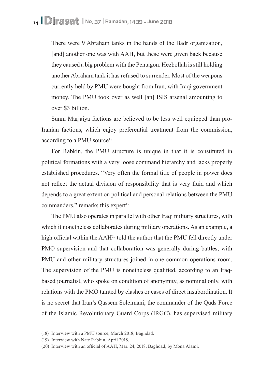There were 9 Abraham tanks in the hands of the Badr organization, [and] another one was with AAH, but these were given back because they caused a big problem with the Pentagon. Hezbollah is still holding another Abraham tank it has refused to surrender. Most of the weapons currently held by PMU were bought from Iran, with Iraqi government money. The PMU took over as well [an] ISIS arsenal amounting to over \$3 billion.

Sunni Marjaiya factions are believed to be less well equipped than pro-Iranian factions, which enjoy preferential treatment from the commission, according to a PMU source<sup>18</sup>.

For Rabkin, the PMU structure is unique in that it is constituted in political formations with a very loose command hierarchy and lacks properly established procedures. "Very often the formal title of people in power does not reflect the actual division of responsibility that is very fluid and which depends to a great extent on political and personal relations between the PMU commanders," remarks this expert<sup>19</sup>.

The PMU also operates in parallel with other Iraqi military structures, with which it nonetheless collaborates during military operations. As an example, a high official within the AAH<sup>20</sup> told the author that the PMU fell directly under PMO supervision and that collaboration was generally during battles, with PMU and other military structures joined in one common operations room. The supervision of the PMU is nonetheless qualified, according to an Iraqbased journalist, who spoke on condition of anonymity, as nominal only, with relations with the PMO tainted by clashes or cases of direct insubordination. It is no secret that Iran's Qassem Soleimani, the commander of the Quds Force of the Islamic Revolutionary Guard Corps (IRGC), has supervised military

<sup>(18)</sup> Interview with a PMU source, March 2018, Baghdad.

<sup>(19)</sup> Interview with Nate Rabkin, April 2018.

<sup>(20)</sup> Interview with an official of AAH, Mar. 24, 2018, Baghdad, by Mona Alami.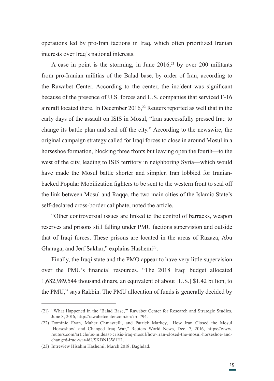operations led by pro-Iran factions in Iraq, which often prioritized Iranian interests over Iraq's national interests.

A case in point is the storming, in June  $2016$ <sup>21</sup> by over 200 militants from pro-Iranian militias of the Balad base, by order of Iran, according to the Rawabet Center. According to the center, the incident was significant because of the presence of U.S. forces and U.S. companies that serviced F-16 aircraft located there. In December 2016,<sup>22</sup> Reuters reported as well that in the early days of the assault on ISIS in Mosul, "Iran successfully pressed Iraq to change its battle plan and seal off the city." According to the newswire, the original campaign strategy called for Iraqi forces to close in around Mosul in a horseshoe formation, blocking three fronts but leaving open the fourth—to the west of the city, leading to ISIS territory in neighboring Syria—which would have made the Mosul battle shorter and simpler. Iran lobbied for Iranianbacked Popular Mobilization fighters to be sent to the western front to seal off the link between Mosul and Raqqa, the two main cities of the Islamic State's self-declared cross-border caliphate, noted the article.

"Other controversial issues are linked to the control of barracks, weapon reserves and prisons still falling under PMU factions supervision and outside that of Iraqi forces. These prisons are located in the areas of Razaza, Abu Gharaga, and Jerf Sakhar," explains Hashemi<sup>23</sup>.

Finally, the Iraqi state and the PMO appear to have very little supervision over the PMU's financial resources. "The 2018 Iraqi budget allocated 1,682,989,544 thousand dinars, an equivalent of about [U.S.] \$1.42 billion, to the PMU," says Rakbin. The PMU allocation of funds is generally decided by

<sup>(21)</sup> "What Happened in the 'Balad Base,'" Rawabet Center for Research and Strategic Studies, June 8, 2016, http://rawabetcenter.com/en/?p=794.

<sup>(22)</sup> Dominic Evan, Maher Chmaytelli, and Patrick Markey, "How Iran Closed the Mosul 'Horseshow' and Changed Iraq War," Reuters World News, Dec. 7, 2016, https://www. reuters.com/article/us-mideast-crisis-iraq-mosul/how-iran-closed-the-mosul-horseshoe-andchanged-iraq-war-idUSKBN13W1H1.

<sup>(23)</sup> Intreview Hisahm Hashemi, March 2018, Baghdad.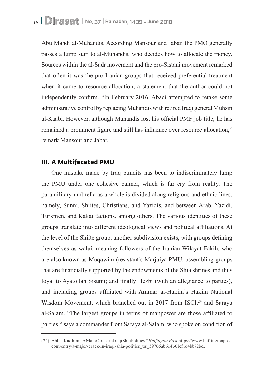Abu Mahdi al-Muhandis. According Mansour and Jabar, the PMO generally passes a lump sum to al-Muhandis, who decides how to allocate the money. Sources within the al-Sadr movement and the pro-Sistani movement remarked that often it was the pro-Iranian groups that received preferential treatment when it came to resource allocation, a statement that the author could not independently confirm. "In February 2016, Abadi attempted to retake some administrative control by replacing Muhandis with retired Iraqi general Muhsin al-Kaabi. However, although Muhandis lost his official PMF job title, he has remained a prominent figure and still has influence over resource allocation," remark Mansour and Jabar.

#### **III. A Multifaceted PMU**

One mistake made by Iraq pundits has been to indiscriminately lump the PMU under one cohesive banner, which is far cry from reality. The paramilitary umbrella as a whole is divided along religious and ethnic lines, namely, Sunni, Shiites, Christians, and Yazidis, and between Arab, Yazidi, Turkmen, and Kakai factions, among others. The various identities of these groups translate into different ideological views and political affiliations. At the level of the Shiite group, another subdivision exists, with groups defining themselves as walai, meaning followers of the Iranian Wilayat Fakih, who are also known as Muqawim (resistant); Marjaiya PMU, assembling groups that are financially supported by the endowments of the Shia shrines and thus loyal to Ayatollah Sistani; and finally Hezbi (with an allegiance to parties), and including groups affiliated with Ammar al-Hakim's Hakim National Wisdom Movement, which branched out in 2017 from ISCI,<sup>24</sup> and Saraya al-Salam. "The largest groups in terms of manpower are those affiliated to parties," says a commander from Saraya al-Salam, who spoke on condition of

<sup>(24)</sup> Abbas Kadhim, "A Major Crack in Iraqi Shia Politics," *Huffington Post*, https://www.huffingtonpost. com/entry/a-major-crack-in-iraqi-shia-politics\_us\_59766ab6e4b01cf1c4bb72bd.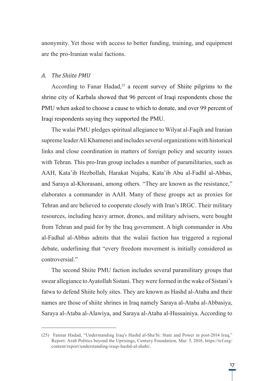anonymity. Yet those with access to better funding, training, and equipment are the pro-Iranian walai factions.

#### *A. The Shiite PMU*

According to Fanar Hadad,<sup>25</sup> a recent survey of Shiite pilgrims to the shrine city of Karbala showed that 96 percent of Iraqi respondents chose the PMU when asked to choose a cause to which to donate, and over 99 percent of Iraqi respondents saying they supported the PMU.

The walai PMU pledges spiritual allegiance to Wilyat al-Faqih and Iranian supreme leader Ali Khamenei and includes several organizations with historical links and close coordination in matters of foreign policy and security issues with Tehran. This pro-Iran group includes a number of paramilitaries, such as AAH, Kata'ib Hezbollah, Harakat Nujaba, Kata'ib Abu al-Fadhl al-Abbas, and Saraya al-Khorasani, among others. "They are known as the resistance," elaborates a commander in AAH. Many of these groups act as proxies for Tehran and are believed to cooperate closely with Iran's IRGC. Their military resources, including heavy armor, drones, and military advisers, were bought from Tehran and paid for by the Iraq government. A high commander in Abu al-Fadhal al-Abbas admits that the walaii faction has triggered a regional debate, underlining that "every freedom movement is initially considered as controversial."

The second Shiite PMU faction includes several paramilitary groups that swear allegiance to Ayatollah Sistani. They were formed in the wake of Sistani's fatwa to defend Shiite holy sites. They are known as Hashd al-Ataba and their names are those of shiite shrines in Iraq namely Saraya al-Ataba al-Abbasiya, Saraya al-Ataba al-Alawiya, and Saraya al-Ataba al-Hussainiya. According to

<sup>(25)</sup> Fannar Hadad, "Understanding Iraq's Hashd al-Sha'bi: State and Power in post-2014 Iraq," Report: Arab Politics beyond the Uprisings, Century Foundation, Mar. 5, 2018, https://tcf.org/ content/report/understanding-iraqs-hashd-al-shabi/.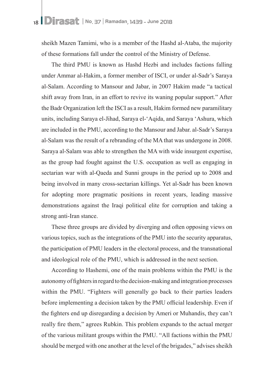sheikh Mazen Tamimi, who is a member of the Hashd al-Ataba, the majority of these formations fall under the control of the Ministry of Defense.

The third PMU is known as Hashd Hezbi and includes factions falling under Ammar al-Hakim, a former member of ISCI, or under al-Sadr's Saraya al-Salam. According to Mansour and Jabar, in 2007 Hakim made "a tactical shift away from Iran, in an effort to revive its waning popular support." After the Badr Organization left the ISCI as a result, Hakim formed new paramilitary units, including Saraya el-Jihad, Saraya el-'Aqida, and Saraya 'Ashura, which are included in the PMU, according to the Mansour and Jabar. al-Sadr's Saraya al-Salam was the result of a rebranding of the MA that was undergone in 2008. Saraya al-Salam was able to strengthen the MA with wide insurgent expertise, as the group had fought against the U.S. occupation as well as engaging in sectarian war with al-Qaeda and Sunni groups in the period up to 2008 and being involved in many cross-sectarian killings. Yet al-Sadr has been known for adopting more pragmatic positions in recent years, leading massive demonstrations against the Iraqi political elite for corruption and taking a strong anti-Iran stance.

These three groups are divided by diverging and often opposing views on various topics, such as the integrations of the PMU into the security apparatus, the participation of PMU leaders in the electoral process, and the transnational and ideological role of the PMU, which is addressed in the next section.

According to Hashemi, one of the main problems within the PMU is the autonomy of fighters in regard to the decision-making and integration processes within the PMU. "Fighters will generally go back to their parties leaders before implementing a decision taken by the PMU official leadership. Even if the fighters end up disregarding a decision by Ameri or Muhandis, they can't really fire them," agrees Rubkin. This problem expands to the actual merger of the various militant groups within the PMU. "All factions within the PMU should be merged with one another at the level of the brigades," advises sheikh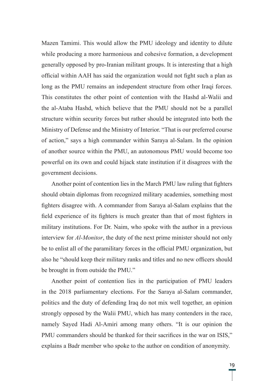Mazen Tamimi. This would allow the PMU ideology and identity to dilute while producing a more harmonious and cohesive formation, a development generally opposed by pro-Iranian militant groups. It is interesting that a high official within AAH has said the organization would not fight such a plan as long as the PMU remains an independent structure from other Iraqi forces. This constitutes the other point of contention with the Hashd al-Walii and the al-Ataba Hashd, which believe that the PMU should not be a parallel structure within security forces but rather should be integrated into both the Ministry of Defense and the Ministry of Interior. "That is our preferred course of action," says a high commander within Saraya al-Salam. In the opinion of another source within the PMU, an autonomous PMU would become too powerful on its own and could hijack state institution if it disagrees with the government decisions.

Another point of contention lies in the March PMU law ruling that fighters should obtain diplomas from recognized military academies, something most fighters disagree with. A commander from Saraya al-Salam explains that the field experience of its fighters is much greater than that of most fighters in military institutions. For Dr. Naim, who spoke with the author in a previous interview for *Al-Monitor*, the duty of the next prime minister should not only be to enlist all of the paramilitary forces in the official PMU organization, but also he "should keep their military ranks and titles and no new officers should be brought in from outside the PMU."

Another point of contention lies in the participation of PMU leaders in the 2018 parliamentary elections. For the Saraya al-Salam commander, politics and the duty of defending Iraq do not mix well together, an opinion strongly opposed by the Walii PMU, which has many contenders in the race, namely Sayed Hadi Al-Amiri among many others. "It is our opinion the PMU commanders should be thanked for their sacrifices in the war on ISIS," explains a Badr member who spoke to the author on condition of anonymity.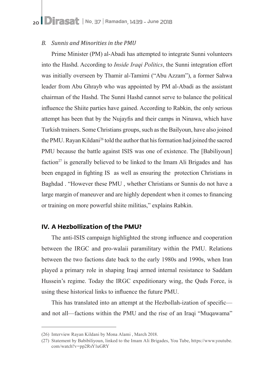#### *B. Sunnis and Minorities in the PMU*

Prime Minister (PM) al-Abadi has attempted to integrate Sunni volunteers into the Hashd. According to *Inside Iraqi Politics*, the Sunni integration effort was initially overseen by Thamir al-Tamimi ("Abu Azzam"), a former Sahwa leader from Abu Ghrayb who was appointed by PM al-Abadi as the assistant chairman of the Hashd. The Sunni Hashd cannot serve to balance the political influence the Shiite parties have gained. According to Rabkin, the only serious attempt has been that by the Nujayfis and their camps in Ninawa, which have Turkish trainers. Some Christians groups, such as the Bailyoun, have also joined the PMU. Rayan Kildani26 told the author that his formation had joined the sacred PMU because the battle against ISIS was one of existence. The [Babiliyoun] faction<sup>27</sup> is generally believed to be linked to the Imam Ali Brigades and has been engaged in fighting IS as well as ensuring the protection Christians in Baghdad . "However these PMU , whether Christians or Sunnis do not have a large margin of maneuver and are highly dependent when it comes to financing or training on more powerful shiite militias," explains Rabkin.

#### **IV. A Hezbollization of the PMU?**

The anti-ISIS campaign highlighted the strong influence and cooperation between the IRGC and pro-walaii paramilitary within the PMU. Relations between the two factions date back to the early 1980s and 1990s, when Iran played a primary role in shaping Iraqi armed internal resistance to Saddam Hussein's regime. Today the IRGC expeditionary wing, the Quds Force, is using these historical links to influence the future PMU.

This has translated into an attempt at the Hezbollah-ization of specific and not all—factions within the PMU and the rise of an Iraqi "Muqawama"

<sup>(26)</sup> Interview Rayan Kildani by Mona Alami , March 2018.

<sup>(27)</sup> Statement by Babibiliyoun, linked to the Imam Ali Brigades, You Tube, https://www.youtube. com/watch?v=pp2RsY1uGRY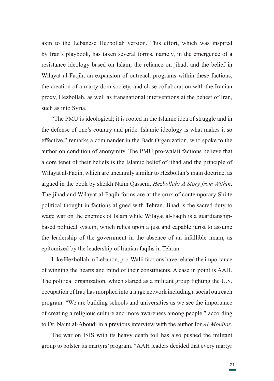akin to the Lebanese Hezbollah version. This effort, which was inspired by Iran's playbook, has taken several forms, namely, in the emergence of a resistance ideology based on Islam, the reliance on jihad, and the belief in Wilayat al-Faqih, an expansion of outreach programs within these factions, the creation of a martyrdom society, and close collaboration with the Iranian proxy, Hezbollah, as well as transnational interventions at the behest of Iran, such as into Syria.

"The PMU is ideological; it is rooted in the Islamic idea of struggle and in the defense of one's country and pride. Islamic ideology is what makes it so effective," remarks a commander in the Badr Organization, who spoke to the author on condition of anonymity. The PMU pro-walaii factions believe that a core tenet of their beliefs is the Islamic belief of jihad and the principle of Wilayat al-Faqih, which are uncannily similar to Hezbollah's main doctrine, as argued in the book by sheikh Naim Qassem, *Hezbollah: A Story from Within*. The jihad and Wilayat al-Faqih forms are at the crux of contemporary Shiite political thought in factions aligned with Tehran. Jihad is the sacred duty to wage war on the enemies of Islam while Wilayat al-Faqih is a guardianshipbased political system, which relies upon a just and capable jurist to assume the leadership of the government in the absence of an infallible imam, as epitomized by the leadership of Iranian faqihs in Tehran.

Like Hezbollah in Lebanon, pro-Walii factions have related the importance of winning the hearts and mind of their constituents. A case in point is AAH. The political organization, which started as a militant group fighting the U.S. occupation of Iraq has morphed into a large network including a social outreach program. "We are building schools and universities as we see the importance of creating a religious culture and more awareness among people," according to Dr. Naim al-Aboudi in a previous interview with the author for *Al-Monitor*.

The war on ISIS with its heavy death toll has also pushed the militant group to bolster its martyrs' program. "AAH leaders decided that every martyr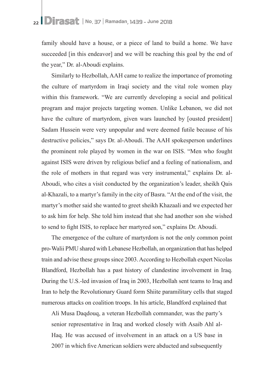family should have a house, or a piece of land to build a home. We have succeeded [in this endeavor] and we will be reaching this goal by the end of the year," Dr. al-Aboudi explains.

Similarly to Hezbollah, AAH came to realize the importance of promoting the culture of martyrdom in Iraqi society and the vital role women play within this framework. "We are currently developing a social and political program and major projects targeting women. Unlike Lebanon, we did not have the culture of martyrdom, given wars launched by [ousted president] Sadam Hussein were very unpopular and were deemed futile because of his destructive policies," says Dr. al-Aboudi. The AAH spokesperson underlines the prominent role played by women in the war on ISIS. "Men who fought against ISIS were driven by religious belief and a feeling of nationalism, and the role of mothers in that regard was very instrumental," explains Dr. al-Aboudi, who cites a visit conducted by the organization's leader, sheikh Qais al-Khazali, to a martyr's family in the city of Basra. "At the end of the visit, the martyr's mother said she wanted to greet sheikh Khazaali and we expected her to ask him for help. She told him instead that she had another son she wished to send to fight ISIS, to replace her martyred son," explains Dr. Aboudi.

The emergence of the culture of martyrdom is not the only common point pro-Walii PMU shared with Lebanese Hezbollah, an organization that has helped train and advise these groups since 2003. According to Hezbollah expert Nicolas Blandford, Hezbollah has a past history of clandestine involvement in Iraq. During the U.S.-led invasion of Iraq in 2003, Hezbollah sent teams to Iraq and Iran to help the Revolutionary Guard form Shiite paramilitary cells that staged numerous attacks on coalition troops. In his article, Blandford explained that

Ali Musa Daqdouq, a veteran Hezbollah commander, was the party's senior representative in Iraq and worked closely with Asaib Ahl al-Haq. He was accused of involvement in an attack on a US base in 2007 in which five American soldiers were abducted and subsequently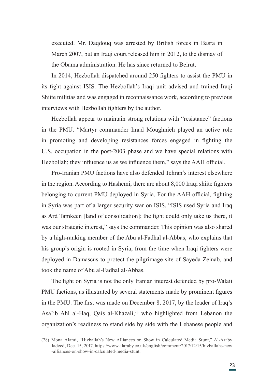executed. Mr. Daqdouq was arrested by British forces in Basra in March 2007, but an Iraqi court released him in 2012, to the dismay of the Obama administration. He has since returned to Beirut.

In 2014, Hezbollah dispatched around 250 fighters to assist the PMU in its fight against ISIS. The Hezbollah's Iraqi unit advised and trained Iraqi Shiite militias and was engaged in reconnaissance work, according to previous interviews with Hezbollah fighters by the author.

Hezbollah appear to maintain strong relations with "resistance" factions in the PMU. "Martyr commander Imad Moughnieh played an active role in promoting and developing resistances forces engaged in fighting the U.S. occupation in the post-2003 phase and we have special relations with Hezbollah; they influence us as we influence them," says the AAH official.

Pro-Iranian PMU factions have also defended Tehran's interest elsewhere in the region. According to Hashemi, there are about 8,000 Iraqi shiite fighters belonging to current PMU deployed in Syria. For the AAH official, fighting in Syria was part of a larger security war on ISIS. "ISIS used Syria and Iraq as Ard Tamkeen [land of consolidation]; the fight could only take us there, it was our strategic interest," says the commander. This opinion was also shared by a high-ranking member of the Abu al-Fadhal al-Abbas, who explains that his group's origin is rooted in Syria, from the time when Iraqi fighters were deployed in Damascus to protect the pilgrimage site of Sayeda Zeinab, and took the name of Abu al-Fadhal al-Abbas.

The fight on Syria is not the only Iranian interest defended by pro-Walaii PMU factions, as illustrated by several statements made by prominent figures in the PMU. The first was made on December 8, 2017, by the leader of Iraq's Asa'ib Ahl al-Haq, Qais al-Khazali,<sup>28</sup> who highlighted from Lebanon the organization's readiness to stand side by side with the Lebanese people and

<sup>(28)</sup> Mona Alami, "Hizballah's New Alliances on Show in Calculated Media Stunt," Al-Araby Jadeed, Dec. 15, 2017, https://www.alaraby.co.uk/english/comment/2017/12/15/hizballahs-new -alliances-on-show-in-calculated-media-stunt.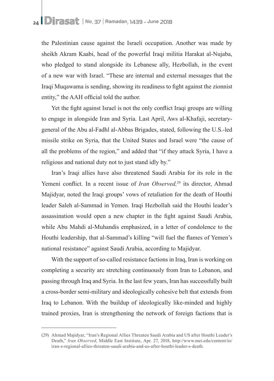the Palestinian cause against the Israeli occupation. Another was made by sheikh Akram Kaabi, head of the powerful Iraqi militia Harakat al-Nujaba, who pledged to stand alongside its Lebanese ally, Hezbollah, in the event of a new war with Israel. "These are internal and external messages that the Iraqi Muqawama is sending, showing its readiness to fight against the zionnist entity," the AAH official told the author.

Yet the fight against Israel is not the only conflict Iraqi groups are willing to engage in alongside Iran and Syria. Last April, Aws al-Khafaji, secretarygeneral of the Abu al-Fadhl al-Abbas Brigades, stated, following the U.S.-led missile strike on Syria, that the United States and Israel were "the cause of all the problems of the region," and added that "if they attack Syria, I have a religious and national duty not to just stand idly by."

Iran's Iraqi allies have also threatened Saudi Arabia for its role in the Yemeni conflict. In a recent issue of *Iran Observed*<sup>29</sup> its director. Ahmad Majidyar, noted the Iraqi groups' vows of retaliation for the death of Houthi leader Saleh al-Sammad in Yemen. Iraqi Hezbollah said the Houthi leader's assassination would open a new chapter in the fight against Saudi Arabia, while Abu Mahdi al-Muhandis emphasized, in a letter of condolence to the Houthi leadership, that al-Sammad's killing "will fuel the flames of Yemen's national resistance" against Saudi Arabia, according to Majidyar.

With the support of so-called resistance factions in Iraq, Iran is working on completing a security arc stretching continuously from Iran to Lebanon, and passing through Iraq and Syria. In the last few years, Iran has successfully built a cross-border semi-military and ideologically cohesive belt that extends from Iraq to Lebanon. With the buildup of ideologically like-minded and highly trained proxies, Iran is strengthening the network of foreign factions that is

<sup>(29)</sup> Ahmad Majidyar, "Iran's Regional Allies Threaten Saudi Arabia and US after Houthi Leader's Death," *Iran Observed*, Middle East Institute, Apr. 27, 2018, http://www.mei.edu/content/io/ iran-s-regional-allies-threaten-saudi-arabia-and-us-after-houthi-leader-s-death.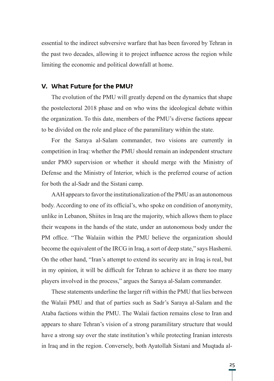essential to the indirect subversive warfare that has been favored by Tehran in the past two decades, allowing it to project influence across the region while limiting the economic and political downfall at home.

#### **V. What Future for the PMU?**

The evolution of the PMU will greatly depend on the dynamics that shape the postelectoral 2018 phase and on who wins the ideological debate within the organization. To this date, members of the PMU's diverse factions appear to be divided on the role and place of the paramilitary within the state.

For the Saraya al-Salam commander, two visions are currently in competition in Iraq: whether the PMU should remain an independent structure under PMO supervision or whether it should merge with the Ministry of Defense and the Ministry of Interior, which is the preferred course of action for both the al-Sadr and the Sistani camp.

AAH appears to favor the institutionalization of the PMU as an autonomous body. According to one of its official's, who spoke on condition of anonymity, unlike in Lebanon, Shiites in Iraq are the majority, which allows them to place their weapons in the hands of the state, under an autonomous body under the PM office. "The Walaiin within the PMU believe the organization should become the equivalent of the IRCG in Iraq, a sort of deep state," says Hashemi. On the other hand, "Iran's attempt to extend its security arc in Iraq is real, but in my opinion, it will be difficult for Tehran to achieve it as there too many players involved in the process," argues the Saraya al-Salam commander.

These statements underline the larger rift within the PMU that lies between the Walaii PMU and that of parties such as Sadr's Saraya al-Salam and the Ataba factions within the PMU. The Walaii faction remains close to Iran and appears to share Tehran's vision of a strong paramilitary structure that would have a strong say over the state institution's while protecting Iranian interests in Iraq and in the region. Conversely, both Ayatollah Sistani and Muqtada al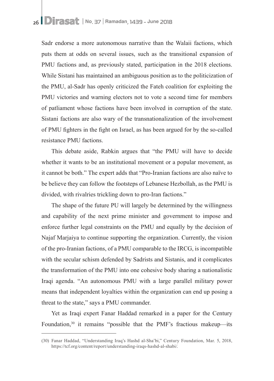Sadr endorse a more autonomous narrative than the Walaii factions, which puts them at odds on several issues, such as the transitional expansion of PMU factions and, as previously stated, participation in the 2018 elections. While Sistani has maintained an ambiguous position as to the politicization of the PMU, al-Sadr has openly criticized the Fateh coalition for exploiting the PMU victories and warning electors not to vote a second time for members of patliament whose factions have been involved in corruption of the state. Sistani factions are also wary of the transnationalization of the involvement of PMU fighters in the fight on Israel, as has been argued for by the so-called resistance PMU factions.

This debate aside, Rabkin argues that "the PMU will have to decide whether it wants to be an institutional movement or a popular movement, as it cannot be both." The expert adds that "Pro-Iranian factions are also naïve to be believe they can follow the footsteps of Lebanese Hezbollah, as the PMU is divided, with rivalries trickling down to pro-Iran factions."

The shape of the future PU will largely be determined by the willingness and capability of the next prime minister and government to impose and enforce further legal constraints on the PMU and equally by the decision of Najaf Marjaiya to continue supporting the organization. Currently, the vision of the pro-Iranian factions, of a PMU comparable to the IRCG, is incompatible with the secular schism defended by Sadrists and Sistanis, and it complicates the transformation of the PMU into one cohesive body sharing a nationalistic Iraqi agenda. "An autonomous PMU with a large parallel military power means that independent loyalties within the organization can end up posing a threat to the state," says a PMU commander.

Yet as Iraqi expert Fanar Haddad remarked in a paper for the Century Foundation,<sup>30</sup> it remains "possible that the PMF's fractious makeup—its

<sup>(30)</sup> Fanar Haddad, "Understanding Iraq's Hashd al-Sha'bi," Century Foundation, Mar. 5, 2018, https://tcf.org/content/report/understanding-iraqs-hashd-al-shabi/.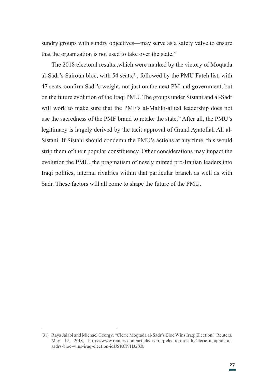sundry groups with sundry objectives—may serve as a safety valve to ensure that the organization is not used to take over the state."

The 2018 electoral results.,which were marked by the victory of Moqtada al-Sadr's Sairoun bloc, with 54 seats,<sup>31</sup>, followed by the PMU Fateh list, with 47 seats, confirm Sadr's weight, not just on the next PM and government, but on the future evolution of the Iraqi PMU. The groups under Sistani and al-Sadr will work to make sure that the PMF's al-Maliki-allied leadership does not use the sacredness of the PMF brand to retake the state." After all, the PMU's legitimacy is largely derived by the tacit approval of Grand Ayatollah Ali al-Sistani. If Sistani should condemn the PMU's actions at any time, this would strip them of their popular constituency. Other considerations may impact the evolution the PMU, the pragmatism of newly minted pro-Iranian leaders into Iraqi politics, internal rivalries within that particular branch as well as with Sadr. These factors will all come to shape the future of the PMU.

<sup>(31)</sup> Raya Jalabi and Michael Georgy, "Cleric Moqtada al-Sadr's Bloc Wins Iraqi Election," Reuters, May 19, 2018, https://www.reuters.com/article/us-iraq-election-results/cleric-moqtada-alsadrs-bloc-wins-iraq-election-idUSKCN1IJ2X0.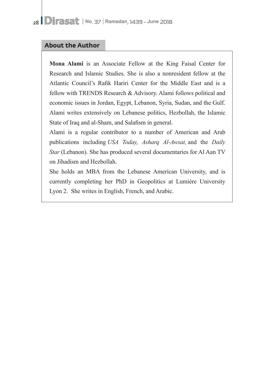### **About the Author**

**Mona Alami** is an Associate Fellow at the King Faisal Center for Research and Islamic Studies. She is also a nonresident fellow at the Atlantic Council's Rafik Hariri Center for the Middle East and is a fellow with TRENDS Research & Advisory. Alami follows political and economic issues in Jordan, Egypt, Lebanon, Syria, Sudan, and the Gulf. Alami writes extensively on Lebanese politics, Hezbollah, the Islamic State of Iraq and al-Sham, and Salafism in general.

Alami is a regular contributor to a number of American and Arab publications including *USA Today, Asharq Al-Awsat,* and the *Daily Star* (Lebanon). She has produced several documentaries for Al Aan TV on Jihadism and Hezbollah.

She holds an MBA from the Lebanese American University, and is currently completing her PhD in Geopolitics at Lumière University Lyon 2. She writes in English, French, and Arabic.